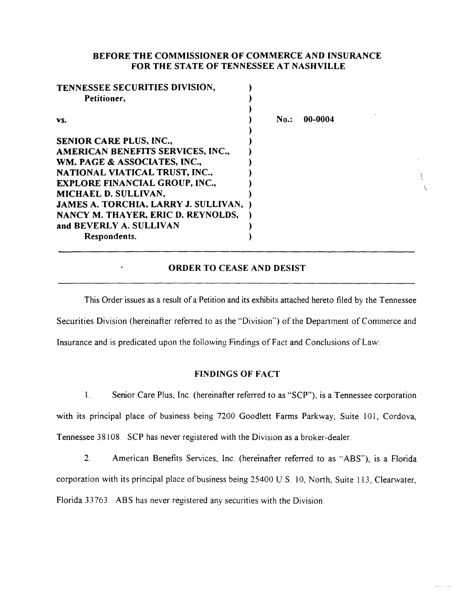## **BEFORE THE COMMISSIONER OF COMMERCE AND INSURANCE FOR THE STATE OF TENNESSEE AT NASHVILLE**

| TENNESSEE SECURITIES DIVISION,        |         |         |
|---------------------------------------|---------|---------|
| Petitioner,                           |         |         |
|                                       |         |         |
| VS.                                   | $No.$ : | 00-0004 |
|                                       |         |         |
| <b>SENIOR CARE PLUS, INC.,</b>        |         |         |
| AMERICAN BENEFITS SERVICES, INC.,     |         |         |
| WM. PAGE & ASSOCIATES, INC.,          |         |         |
| NATIONAL VIATICAL TRUST, INC.,        |         |         |
| <b>EXPLORE FINANCIAL GROUP, INC.,</b> |         |         |
| MICHAEL D. SULLIVAN,                  |         |         |
| JAMES A. TORCHIA, LARRY J. SULLIVAN,  |         |         |
| NANCY M. THAYER, ERIC D. REYNOLDS,    |         |         |
| and BEVERLY A. SULLIVAN               |         |         |
| Respondents.                          |         |         |

## **ORDER TO CEASE AND DESIST**

 $\overline{\phantom{a}}$ 

This Order issues as a result of a Petition and its exhibits attached hereto filed by the Tennessee Securities Division (hereinafter referred to as the "Division") of the Department of Commerce and Insurance and is predicated upon the following Findings of Fact and Conclusions of Law:

### **FINDINGS OF FACT**

**1.** Senior Care Plus, Inc. (hereinafter referred to as "SCP"), is a Tennessee corporation with its principal place of business being 7200 Goodlett Farms Parkway, Suite 101, Cordova, Tennessee 38108. SCP has never registered with the Division as a broker-dealer.

2. American Benefits Services, Inc. (hereinafter referred to as "ABS"), is a Florida corporation with its principal place of business being 25400 U.S. 10, North, Suite 113, Clearwater, Florida 33763 ABS has never registered any securities with the Division.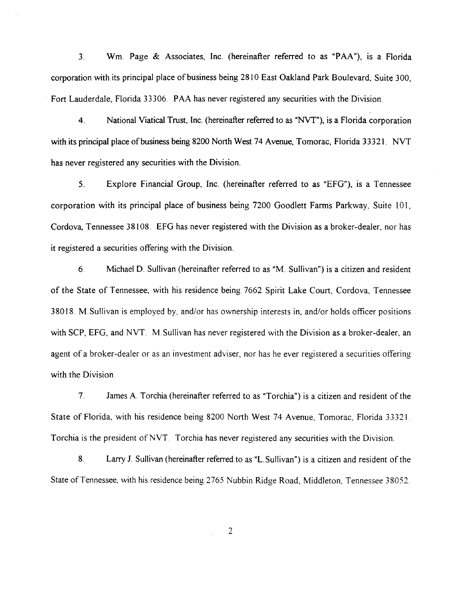3. Wm. Page & Associates, Inc. (hereinafter referred to as "PAA"), is a Florida corporation with its principal place of business being 2810 East Oakland Park Boulevard, Suite 300, Fort Lauderdale, Florida 33306. PAA has never registered any securities with the Division.

4. National Viatical Trust, Inc. (hereinafter referred to as "NVT"), is a Florida corporation with its principal place of business being 8200 North West 74 Avenue, Tomorac, Florida 33321. NVT has never registered any securities with the Division.

5. Explore Financial Group, Inc. (hereinafter referred to as "EFG"), is a Tennessee corporation with its principal place of business being 7200 Goodlett Farms Parkway, Suite 101. Cordova, Tennessee 38108. EFG has never registered with the Division as a broker-dealer, nor has it registered a securities offering with the Division.

6. Michael D. Sullivan (hereinafter referred to as "M. Sullivan") is a citizen and resident of the State of Tennessee, with his residence being 7662 Spirit Lake Court, Cordova, Tennessee 38018. M.Sullivan is employed by, and/or has ownership interests in, and/or holds officer positions with SCP, EFG, and NVT. M. Sullivan has never registered with the Division as a broker-dealer, an agent of a broker-dealer or as an investment adviser, nor has he ever registered a securities offering with the Division.

7. James A. Torchia (hereinafter referred to as "Torchia") is a citizen and resident of the State of Florida, with his residence being 8200 North West 74 Avenue, Tomorac, Florida 33321. Torchia is the president of NVT. Torchia has never registered any securities with the Division.

8. Larry J. Sullivan (hereinafter referred to as "L.Sullivan") is a citizen and resident of the State of Tennessee, with his residence being 2765 Nubbin Ridge Road, Middleton, Tennessee 38052.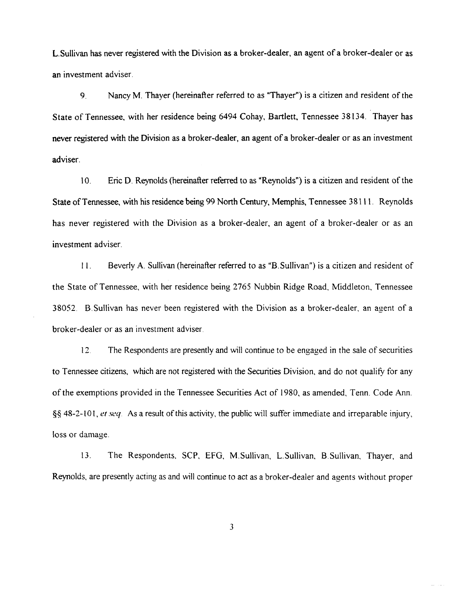L.Sullivan has never registered with the Division as a broker-dealer, an agent of a broker-dealer or as an investment adviser.

9. Nancy M. Thayer (hereinafter referred to as "Thayer") is a citizen and resident of the State of Tennessee, with her residence being 6494 Cohay, Bartlett, Tennessee 38134. Thayer has never registered with the Division as a broker-dealer, an agent of a broker-dealer or as an investment adviser.

10. Eric D. Reynolds (hereinafter referred to as "Reynolds") is a citizen and resident of the State of Tennessee, with his residence being 99 North Century, Memphis, Tennessee 38111. Reynolds has never registered with the Division as a broker-dealer, an agent of a broker-dealer or as an investment adviser.

I I. Beverly A. Sullivan (hereinafter referred to as "B. Sullivan") is a citizen and resident of the State of Tennessee, with her residence being 2765 Nubbin Ridge Road, Middleton, Tennessee 38052. B. Sullivan has never been registered with the Division as a broker-dealer, an agent of a broker-dealer or as an investment adviser.

12. The Respondents are presently and will continue to be engaged in the sale of securities to Tennessee citizens, which are not registered with the Securities Division, and do not qualify for any of the exemptions provided in the Tennessee Securities Act of 1980, as amended, Tenn. Code Ann. §§ 48-2-lO I, *et seq.* As a result of this activity, the public will suffer immediate and irreparable injury, loss or damage.

13. The Respondents, SCP, EFG, M.Sullivan, L.Sullivan, B.Sullivan, Thayer, and Reynolds, are presently acting as and will continue to act as a broker-dealer and agents without proper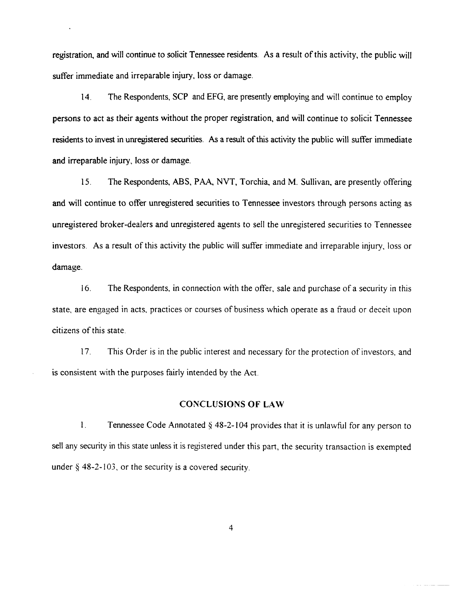registration, and will continue to solicit Tennessee residents. As a result of this activity, the public will suffer immediate and irreparable injury, loss or damage.

14. The Respondents, SCP and EFG, are presently employing and will continue to employ persons to act as their agents without the proper registration, and will continue to solicit Tennessee residents to invest in unregistered securities. As a result of this activity the public will suffer immediate and irreparable injury, loss or damage.

15. The Respondents, ABS, PAA, NVT, Torchia, and M. Sullivan, are presently offering and will continue to offer unregistered securities to Tennessee investors through persons acting as unregistered broker -dealers and unregistered agents to sell the unregistered securities to Tennessee investors. As a result of this activity the public will suffer immediate and irreparable injury, loss or damage.

16. The Respondents, in connection with the offer, sale and purchase of a security in this state, are engaged in acts, practices or courses of business which operate as a fraud or deceit upon citizens of this state.

17. This Order is in the public interest and necessary for the protection of investors, and is consistent with the purposes fairly intended by the Act.

## CONCLUSIONS OF LAW

1. Tennessee Code Annotated  $\S$  48-2-104 provides that it is unlawful for any person to sell any security in this state unless it is registered under this part, the security transaction is exempted under  $\S$  48-2-103, or the security is a covered security.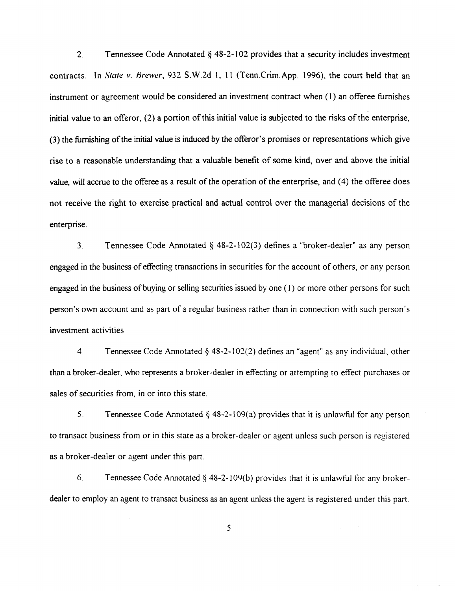2. Tennessee Code Annotated  $\delta$  48-2-102 provides that a security includes investment contracts. In *State v. Brewer*, 932 S.W.2d 1, 11 (Tenn.Crim.App. 1996), the court held that an instrument or agreement would be considered an investment contract when ( 1) an offeree furnishes initial value to an offeror, (2) a portion of this initial value is subjected to the risks of the enterprise, (3) the furnishing of the initial value is induced by the offeror's promises or representations which give rise to a reasonable understanding that a valuable benefit of some kind, over and above the initial value, will accrue to the offeree as a result of the operation of the enterprise, and (4) the offeree does not receive the right to exercise practical and actual control over the managerial decisions of the enterprise.

3. Tennessee Code Annotated§ 48-2-102(3) defines a "broker-dealer" as any person engaged in the business of effecting transactions in securities for the account of others, or any person engaged in the business of buying or selling securities issued by one  $(1)$  or more other persons for such person's own account and as part of a regular business rather than in connection with such person's investment activities.

4. Tennessee Code Annotated  $\S$  48-2-102(2) defines an "agent" as any individual, other than a broker-dealer, who represents a broker-dealer in effecting or attempting to effect purchases or sales of securities from, in or into this state.

5. Tennessee Code Annotated  $\S$  48-2-109(a) provides that it is unlawful for any person to transact business from or in this state as a broker-dealer or agent unless such person is registered as a broker-dealer or agent under this part.

6. Tennessee Code Annotated  $\S$  48-2-109(b) provides that it is unlawful for any brokerdealer to employ an agent to transact business as an agent unless the agent is registered under this part.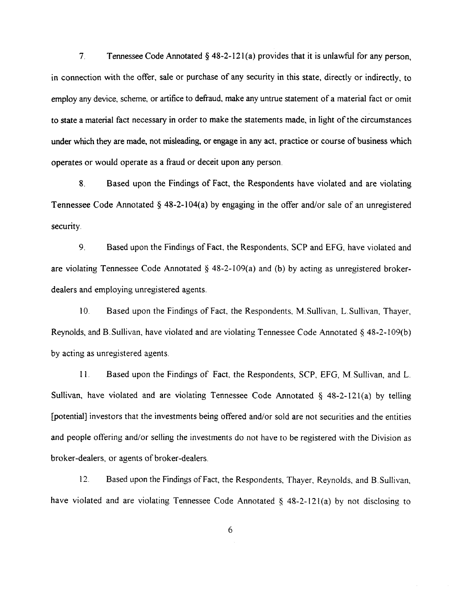7. Tennessee Code Annotated  $\S$  48-2-121(a) provides that it is unlawful for any person. in connection with the offer, sale or purchase of any security in this state, directly or indirectly, to employ any device, scheme, or artifice to defraud, make any untrue statement of a material fact or omit to state a material fact necessary in order to make the statements made, in light of the circumstances under which they are made, not misleading, or engage in any act, practice or course of business which operates or would operate as a fraud or deceit upon any person.

8. Based upon the Findings of Fact, the Respondents have violated and are violating Tennessee Code Annotated  $\S$  48-2-104(a) by engaging in the offer and/or sale of an unregistered security.

9. Based upon the Findings of Fact, the Respondents, SCP and EFG, have violated and are violating Tennessee Code Annotated  $\S$  48-2-109(a) and (b) by acting as unregistered brokerdealers and employing unregistered agents.

10. Based upon the Findings of Fact, the Respondents, M. Sullivan, L. Sullivan, Thayer, Reynolds, and B. Sullivan, have violated and are violating Tennessee Code Annotated  $\S$  48-2-109(b) by acting as unregistered agents.

II. Based upon the Findings of Fact, the Respondents, SCP, EFG, M.Sullivan, and L. Sullivan, have violated and are violating Tennessee Code Annotated  $\S$  48-2-121(a) by telling [potential] investors that the investments being offered and/or sold are not securities and the entities and people offering and/or selling the investments do not have to be registered with the Division as broker-dealers, or agents of broker-dealers.

12. Based upon the Findings of Fact, the Respondents, Thayer, Reynolds, and B. Sullivan, have violated and are violating Tennessee Code Annotated  $\S$  48-2-121(a) by not disclosing to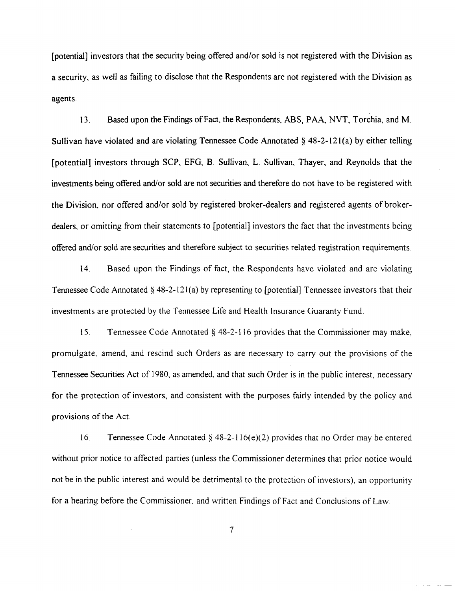[potential] investors that the security being offered and/or sold is not registered with the Division as a security, as well as failing to disclose that the Respondents are not registered with the Division as agents.

13. Based upon the Findings of Fact, the Respondents, ABS, PAA, NVT, Torchia. and M. Sullivan have violated and are violating Tennessee Code Annotated  $\delta$  48-2-121(a) by either telling (potential] investors through SCP, EFG, B. Sullivan, L. Sullivan, Thayer, and Reynolds that the investments being offered and/or sold are not securities and therefore do not have to be registered with the Division, nor offered and/or sold by registered broker-dealers and registered agents of brokerdealers, or omitting from their statements to [potential] investors the fact that the investments being offered and/or sold are securities and therefore subject to securities related registration requirements.

14. Based upon the Findings of fact, the Respondents have violated and are violating Tennessee Code Annotated  $\S$  48-2-121(a) by representing to [potential] Tennessee investors that their investments are protected by the Tennessee Life and Health Insurance Guaranty Fund.

IS. Tennessee Code Annotated § 48-2-1 16 provides that the Commissioner may make, promulgate, amend, and rescind such Orders as are necessary to carry out the provisions of the Tennessee Securities Act of 1980, as amended, and that such Order is in the public interest, necessary for the protection of investors, and consistent with the purposes fairly intended by the policy and provisions of the Act.

16. Tennessee Code Annotated  $\S$  48-2-116(e)(2) provides that no Order may be entered without prior notice to affected parties (unless the Commissioner determines that prior notice would not be in the public interest and would be detrimental to the protection of investors), an opportunity for a hearing before the Commissioner, and written Findings of Fact and Conclusions of Law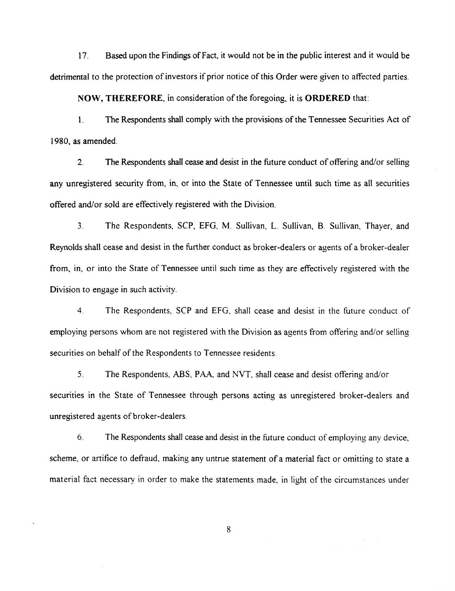17. Based upon the Findings ofFact, it would not be in the public interest and it would be detrimental to the protection of investors if prior notice of this Order were given to affected parties.

**NOW, THEREFORE, in consideration of the foregoing, it is ORDERED that:** 

1. The Respondents shall comply with the provisions of the Tennessee Securities Act of 1980, as amended.

2. The Respondents shall cease and desist in the future conduct of offering and/or selling any unregistered security from, in, or into the State of Tennessee until such time as all securities offered and/or sold are effectively registered with the Division.

3. The Respondents, SCP, EFG, M. Sullivan, L. Sullivan, B. Sullivan, Thayer, and Reynolds shall cease and desist in the further conduct as broker-dealers or agents of a broker-dealer from, in, or into the State of Tennessee until such time as they are effectively registered with the Division to engage in such activity.

4. The Respondents, SCP and EFG, shall cease and desist in the future conduct of employing persons whom are not registered with the Division as agents from offering and/or selling securities on behalf of the Respondents to Tennessee residents.

5. The Respondents, ABS, PAA. and NVT, shall cease and desist offering and/or securities in the State of Tennessee through persons acting as unregistered broker-dealers and unregistered agents of broker-dealers.

6. The Respondents shall cease and desist in the future conduct of employing any device, scheme, or artifice to defraud, making any untrue statement of a material fact or omitting to state a material fact necessary in order to make the statements made, in light of the circumstances under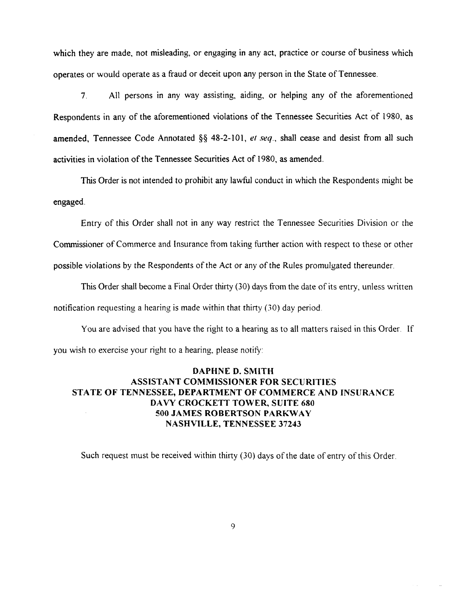which they are made, not misleading, or engaging in any act, practice or course of business which operates or would operate as a fraud or deceit upon any person in the State ofTennessee.

7. All persons in any way assisting, aiding, or helping any of the aforementioned Respondents in any of the aforementioned violations of the Tennessee Securities Act of 1980, as amended, Tennessee Code Annotated *§§* 48-2-101, *et seq.,* shall cease and desist from all such activities in violation of the Tennessee Securities Act of 1980, as amended.

This Order is not intended to prohibit any lawful conduct in which the Respondents might be engaged.

Entry of this Order shall not in any way restrict the Tennessee Securities Division or the Commissioner of Commerce and Insurance from taking further action with respect to these or other possible violations by the Respondents of the Act or any of the Rules promulgated thereunder.

This Order shall become a Final Order thirty (30) days from the date of its entry, unless written notification requesting a hearing is made within that thirty (30) day period.

You are advised that you have the right to a hearing as to all matters raised in this Order. If you wish to exercise your right to a hearing, please notify:

# DAPHNE D. SMITH ASSISTANT COMMISSIONER FOR SECURITIES STATE OF TENNESSEE, DEPARTMENT OF COMMERCE AND INSURANCE DAVY CROCKETT TOWER, SUITE 680 500 JAMES ROBERTSON PARKWAY NASHVILLE, TENNESSEE 37243

Such request must be received within thirty (30) days of the date of entry of this Order.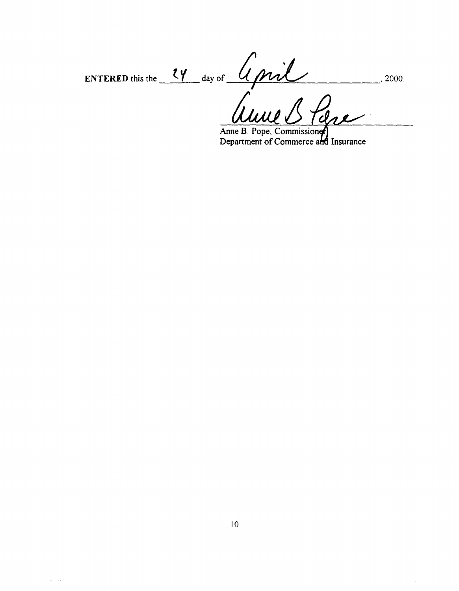ENTERED this the 24 day of April 2000. fan.

Anne B. Pope, Commissioner

 $\sim$